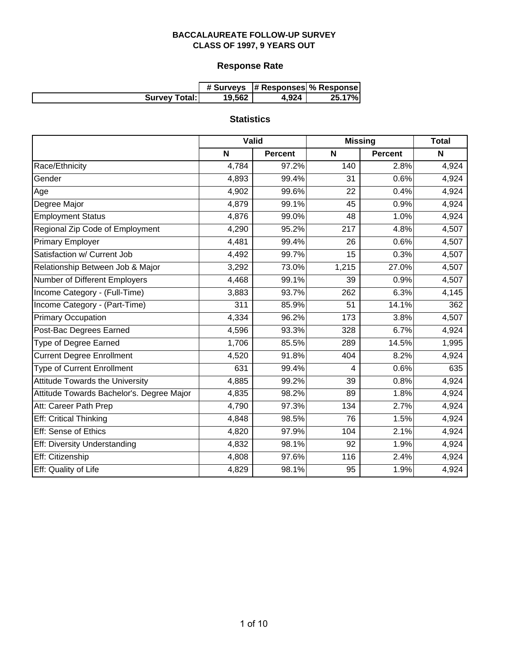# **Response Rate**

|                      |        | # Surveys  # Responses  % Response |        |
|----------------------|--------|------------------------------------|--------|
| <b>Survey Total:</b> | 19,562 | 4.924                              | 25.17% |

# **Statistics**

|                                           | Valid |                | <b>Missing</b> |                | <b>Total</b> |
|-------------------------------------------|-------|----------------|----------------|----------------|--------------|
|                                           | N     | <b>Percent</b> | N              | <b>Percent</b> | N            |
| Race/Ethnicity                            | 4,784 | 97.2%          | 140            | 2.8%           | 4,924        |
| Gender                                    | 4,893 | 99.4%          | 31             | 0.6%           | 4,924        |
| Age                                       | 4,902 | 99.6%          | 22             | 0.4%           | 4,924        |
| Degree Major                              | 4,879 | 99.1%          | 45             | 0.9%           | 4,924        |
| <b>Employment Status</b>                  | 4,876 | 99.0%          | 48             | 1.0%           | 4,924        |
| Regional Zip Code of Employment           | 4,290 | 95.2%          | 217            | 4.8%           | 4,507        |
| <b>Primary Employer</b>                   | 4,481 | 99.4%          | 26             | 0.6%           | 4,507        |
| Satisfaction w/ Current Job               | 4,492 | 99.7%          | 15             | 0.3%           | 4,507        |
| Relationship Between Job & Major          | 3,292 | 73.0%          | 1,215          | 27.0%          | 4,507        |
| Number of Different Employers             | 4,468 | 99.1%          | 39             | 0.9%           | 4,507        |
| Income Category - (Full-Time)             | 3,883 | 93.7%          | 262            | 6.3%           | 4,145        |
| Income Category - (Part-Time)             | 311   | 85.9%          | 51             | 14.1%          | 362          |
| <b>Primary Occupation</b>                 | 4,334 | 96.2%          | 173            | 3.8%           | 4,507        |
| Post-Bac Degrees Earned                   | 4,596 | 93.3%          | 328            | 6.7%           | 4,924        |
| Type of Degree Earned                     | 1,706 | 85.5%          | 289            | 14.5%          | 1,995        |
| <b>Current Degree Enrollment</b>          | 4,520 | 91.8%          | 404            | 8.2%           | 4,924        |
| <b>Type of Current Enrollment</b>         | 631   | 99.4%          | 4              | 0.6%           | 635          |
| <b>Attitude Towards the University</b>    | 4,885 | 99.2%          | 39             | 0.8%           | 4,924        |
| Attitude Towards Bachelor's. Degree Major | 4,835 | 98.2%          | 89             | 1.8%           | 4,924        |
| Att: Career Path Prep                     | 4,790 | 97.3%          | 134            | 2.7%           | 4,924        |
| Eff: Critical Thinking                    | 4,848 | 98.5%          | 76             | 1.5%           | 4,924        |
| Eff: Sense of Ethics                      | 4,820 | 97.9%          | 104            | 2.1%           | 4,924        |
| Eff: Diversity Understanding              | 4,832 | 98.1%          | 92             | 1.9%           | 4,924        |
| Eff: Citizenship                          | 4,808 | 97.6%          | 116            | 2.4%           | 4,924        |
| Eff: Quality of Life                      | 4,829 | 98.1%          | 95             | 1.9%           | 4,924        |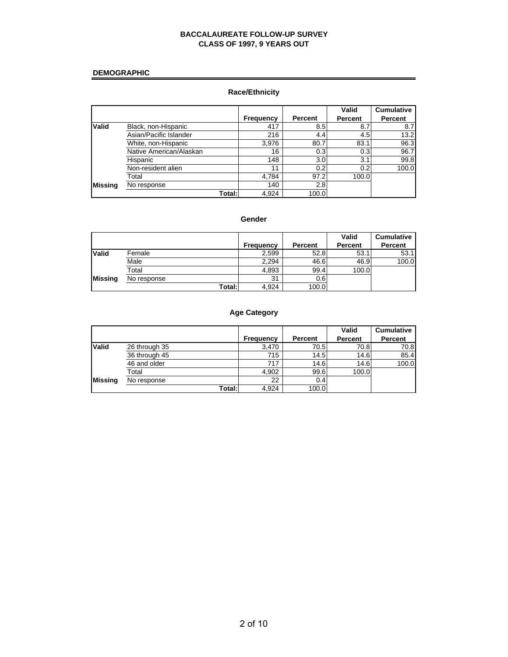#### **DEMOGRAPHIC**

# **Race/Ethnicity**

|                |                         |                  |                | <b>Valid</b>   | <b>Cumulative</b> |
|----------------|-------------------------|------------------|----------------|----------------|-------------------|
|                |                         | <b>Frequency</b> | <b>Percent</b> | <b>Percent</b> | <b>Percent</b>    |
| <b>Valid</b>   | Black, non-Hispanic     | 417              | 8.5            | 8.7            | 8.7               |
|                | Asian/Pacific Islander  | 216              | 4.4            | 4.5            | 13.2              |
|                | White, non-Hispanic     | 3.976            | 80.7           | 83.1           | 96.3              |
|                | Native American/Alaskan | 16               | 0.3            | 0.3            | 96.7              |
|                | Hispanic                | 148              | 3.0            | 3.1            | 99.8              |
|                | Non-resident alien      | 11               | 0.2            | 0.2            | 100.0             |
|                | Total                   | 4,784            | 97.2           | 100.0          |                   |
| <b>Missing</b> | No response             | 140              | 2.8            |                |                   |
|                | Total:                  | 4,924            | 100.0          |                |                   |

#### **Gender**

|                |             |           |                | Valid          | <b>Cumulative</b> |
|----------------|-------------|-----------|----------------|----------------|-------------------|
|                |             | Frequency | <b>Percent</b> | <b>Percent</b> | <b>Percent</b>    |
| <b>Valid</b>   | Female      | 2.599     | 52.8           | 53.1           | 53.1              |
|                | Male        | 2,294     | 46.6           | 46.9           | 100.0             |
|                | Total       | 4,893     | 99.4           | 100.0          |                   |
| <b>Missing</b> | No response | 31        | 0.6            |                |                   |
|                | Total:l     | 4,924     | 100.0          |                |                   |

# **Age Category**

|                |               |           |                | Valid   | <b>Cumulative</b> |
|----------------|---------------|-----------|----------------|---------|-------------------|
|                |               | Frequency | <b>Percent</b> | Percent | Percent           |
| <b>Valid</b>   | 26 through 35 | 3,470     | 70.5           | 70.8    | 70.8              |
|                | 36 through 45 | 715       | 14.5           | 14.6    | 85.4              |
|                | 46 and older  | 717       | 14.6           | 14.6    | 100.0             |
|                | Total         | 4,902     | 99.6           | 100.0   |                   |
| <b>Missing</b> | No response   | 22        | 0.4            |         |                   |
|                | Total:        | 4.924     | 100.0          |         |                   |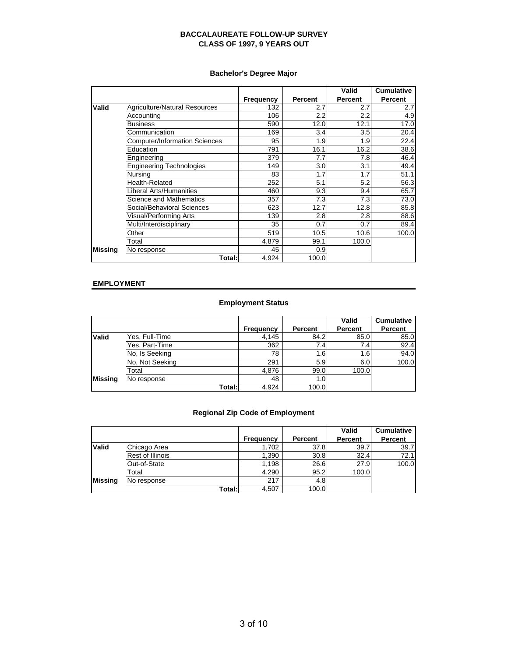# **Bachelor's Degree Major**

|                |                                      |                  |                | Valid          | <b>Cumulative</b> |
|----------------|--------------------------------------|------------------|----------------|----------------|-------------------|
|                |                                      | <b>Frequency</b> | <b>Percent</b> | <b>Percent</b> | <b>Percent</b>    |
| Valid          | Agriculture/Natural Resources        | 132              | 2.7            | 2.7            | 2.7               |
|                | Accounting                           | 106              | 2.2            | 2.2            | 4.9               |
|                | <b>Business</b>                      | 590              | 12.0           | 12.1           | 17.0              |
|                | Communication                        | 169              | 3.4            | 3.5            | 20.4              |
|                | <b>Computer/Information Sciences</b> | 95               | 1.9            | 1.9            | 22.4              |
|                | Education                            | 791              | 16.1           | 16.2           | 38.6              |
|                | Engineering                          | 379              | 7.7            | 7.8            | 46.4              |
|                | <b>Engineering Technologies</b>      | 149              | 3.0            | 3.1            | 49.4              |
|                | Nursing                              | 83               | 1.7            | 1.7            | 51.1              |
|                | <b>Health-Related</b>                | 252              | 5.1            | 5.2            | 56.3              |
|                | Liberal Arts/Humanities              | 460              | 9.3            | 9.4            | 65.7              |
|                | Science and Mathematics              | 357              | 7.3            | 7.3            | 73.0              |
|                | Social/Behavioral Sciences           | 623              | 12.7           | 12.8           | 85.8              |
|                | <b>Visual/Performing Arts</b>        | 139              | 2.8            | 2.8            | 88.6              |
|                | Multi/Interdisciplinary              | 35               | 0.7            | 0.7            | 89.4              |
|                | Other                                | 519              | 10.5           | 10.6           | 100.0             |
|                | Total                                | 4.879            | 99.1           | 100.0          |                   |
| <b>Missing</b> | No response                          | 45               | 0.9            |                |                   |
|                | Total:                               | 4,924            | 100.0          |                |                   |

# **EMPLOYMENT**

# **Employment Status**

|                |                 |                  |         | Valid   | <b>Cumulative</b> |
|----------------|-----------------|------------------|---------|---------|-------------------|
|                |                 | <b>Frequency</b> | Percent | Percent | <b>Percent</b>    |
| <b>Valid</b>   | Yes. Full-Time  | 4.145            | 84.2    | 85.0    | 85.0              |
|                | Yes, Part-Time  | 362              | 7.4     | 7.4     | 92.4              |
|                | No, Is Seeking  | 78               | 1.6     | 1.6     | 94.0              |
|                | No, Not Seeking | 291              | 5.9     | 6.0     | 100.0             |
|                | Total           | 4.876            | 99.0    | 100.0   |                   |
| <b>Missing</b> | No response     | 48               | 1.0     |         |                   |
|                | Total:          | 4.924            | 100.0   |         |                   |

# **Regional Zip Code of Employment**

|                |                  |                  |                | Valid          | <b>Cumulative</b> |
|----------------|------------------|------------------|----------------|----------------|-------------------|
|                |                  | <b>Frequency</b> | <b>Percent</b> | <b>Percent</b> | Percent           |
| <b>Valid</b>   | Chicago Area     | 1,702            | 37.8           | 39.7           | 39.7              |
|                | Rest of Illinois | 1,390            | 30.8           | 32.4           | 72.1              |
|                | Out-of-State     | 1,198            | 26.6           | 27.9           | 100.0             |
|                | Total            | 4,290            | 95.2           | 100.0          |                   |
| <b>Missing</b> | No response      | 217              | 4.8            |                |                   |
|                | Total:           | 4,507            | 100.0          |                |                   |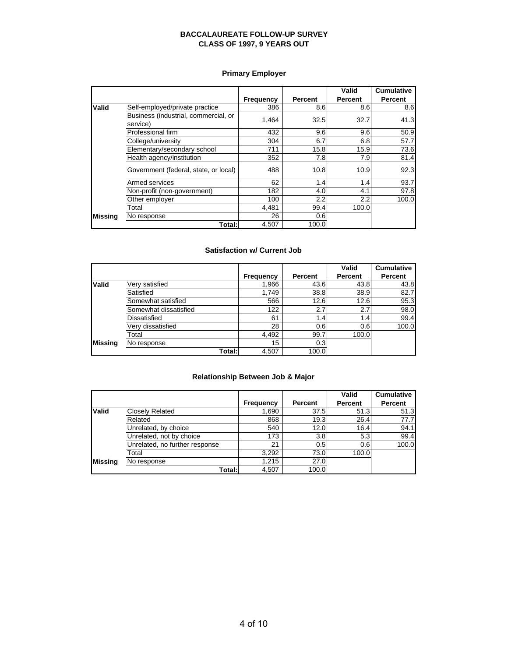# **Primary Employer**

|         |                                                  |                  |                | Valid   | <b>Cumulative</b> |
|---------|--------------------------------------------------|------------------|----------------|---------|-------------------|
|         |                                                  | <b>Frequency</b> | <b>Percent</b> | Percent | <b>Percent</b>    |
| Valid   | Self-employed/private practice                   | 386              | 8.6            | 8.6     | 8.6               |
|         | Business (industrial, commercial, or<br>service) | 1.464            | 32.5           | 32.7    | 41.3              |
|         | Professional firm                                | 432              | 9.6            | 9.6     | 50.9              |
|         | College/university                               | 304              | 6.7            | 6.8     | 57.7              |
|         | Elementary/secondary school                      | 711              | 15.8           | 15.9    | 73.6              |
|         | Health agency/institution                        | 352              | 7.8            | 7.9     | 81.4              |
|         | Government (federal, state, or local)            | 488              | 10.8           | 10.9    | 92.3              |
|         | Armed services                                   | 62               | 1.4            | 1.4     | 93.7              |
|         | Non-profit (non-government)                      | 182              | 4.0            | 4.1     | 97.8              |
|         | Other employer                                   | 100              | 2.2            | 2.2     | 100.0             |
|         | Total                                            | 4.481            | 99.4           | 100.0   |                   |
| Missing | No response                                      | 26               | 0.6            |         |                   |
|         | Total:I                                          | 4,507            | 100.0          |         |                   |

#### **Satisfaction w/ Current Job**

|                |                       |                  |                | Valid   | <b>Cumulative</b> |
|----------------|-----------------------|------------------|----------------|---------|-------------------|
|                |                       | <b>Frequency</b> | <b>Percent</b> | Percent | Percent           |
| <b>Valid</b>   | Verv satisfied        | 1.966            | 43.6           | 43.8    | 43.8              |
|                | Satisfied             | 1.749            | 38.8           | 38.9    | 82.7              |
|                | Somewhat satisfied    | 566              | 12.6           | 12.6    | 95.3              |
|                | Somewhat dissatisfied | 122              | 2.7            | 2.7     | 98.0              |
|                | Dissatisfied          | 61               | 1.4            | 1.4     | 99.4              |
|                | Very dissatisfied     | 28               | 0.6            | 0.6     | 100.0             |
|                | Total                 | 4,492            | 99.7           | 100.0   |                   |
| <b>Missing</b> | No response           | 15               | 0.3            |         |                   |
|                | Total:l               | 4,507            | 100.0          |         |                   |

# **Relationship Between Job & Major**

|                |                                |           |         | Valid   | <b>Cumulative</b> |
|----------------|--------------------------------|-----------|---------|---------|-------------------|
|                |                                | Frequency | Percent | Percent | <b>Percent</b>    |
| <b>Valid</b>   | <b>Closely Related</b>         | 1,690     | 37.5    | 51.3    | 51.3              |
|                | Related                        | 868       | 19.3    | 26.4    | 77.7              |
|                | Unrelated, by choice           | 540       | 12.0    | 16.4    | 94.1              |
|                | Unrelated, not by choice       | 173       | 3.8     | 5.3     | 99.4              |
|                | Unrelated, no further response | 21        | 0.5     | 0.6     | 100.0             |
|                | Total                          | 3,292     | 73.0    | 100.0   |                   |
| <b>Missing</b> | No response                    | 1.215     | 27.0    |         |                   |
|                | Total:                         | 4.507     | 100.0   |         |                   |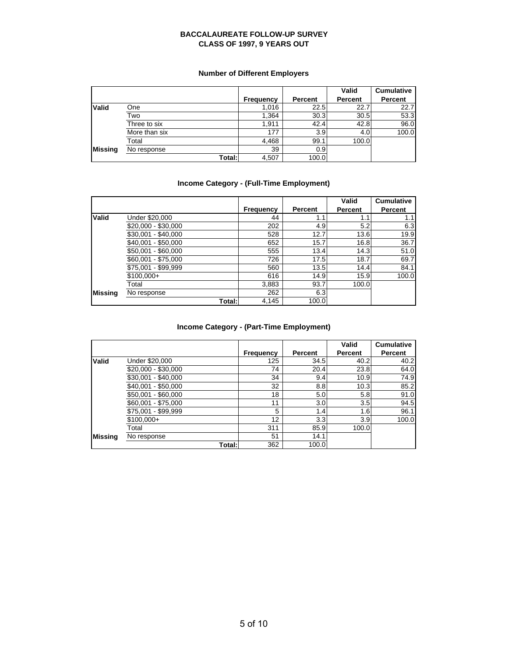# **Number of Different Employers**

|                |               |                  |         | Valid          | <b>Cumulative</b> |
|----------------|---------------|------------------|---------|----------------|-------------------|
|                |               | <b>Frequency</b> | Percent | <b>Percent</b> | <b>Percent</b>    |
| <b>Valid</b>   | One           | 1.016            | 22.5    | 22.7           | 22.7              |
|                | Two           | 1,364            | 30.3    | 30.5           | 53.3              |
|                | Three to six  | 1.911            | 42.4    | 42.8           | 96.0              |
|                | More than six | 177              | 3.9     | 4.0            | 100.0             |
|                | Total         | 4,468            | 99.1    | 100.0          |                   |
| <b>Missing</b> | No response   | 39               | 0.9     |                |                   |
|                | Total:        | 4,507            | 100.0   |                |                   |

# **Income Category - (Full-Time Employment)**

|                |                     |                  |                | Valid   | <b>Cumulative</b> |
|----------------|---------------------|------------------|----------------|---------|-------------------|
|                |                     | <b>Frequency</b> | <b>Percent</b> | Percent | <b>Percent</b>    |
| <b>Valid</b>   | Under \$20,000      | 44               | 1.1            | 1.1     | 1.1               |
|                | \$20,000 - \$30,000 | 202              | 4.9            | 5.2     | 6.3               |
|                | \$30.001 - \$40.000 | 528              | 12.7           | 13.6    | 19.9              |
|                | \$40,001 - \$50,000 | 652              | 15.7           | 16.8    | 36.7              |
|                | \$50,001 - \$60,000 | 555              | 13.4           | 14.3    | 51.0              |
|                | \$60,001 - \$75,000 | 726              | 17.5           | 18.7    | 69.7              |
|                | \$75,001 - \$99,999 | 560              | 13.5           | 14.4    | 84.1              |
|                | $$100,000+$         | 616              | 14.9           | 15.9    | 100.0             |
|                | Total               | 3,883            | 93.7           | 100.0   |                   |
| <b>Missing</b> | No response         | 262              | 6.3            |         |                   |
|                | Total:I             | 4,145            | 100.0          |         |                   |

# **Income Category - (Part-Time Employment)**

|              |                     |                  |                | Valid          | <b>Cumulative</b> |
|--------------|---------------------|------------------|----------------|----------------|-------------------|
|              |                     | <b>Frequency</b> | <b>Percent</b> | <b>Percent</b> | <b>Percent</b>    |
| <b>Valid</b> | Under \$20,000      | 125              | 34.5           | 40.2           | 40.2              |
|              | \$20,000 - \$30,000 | 74               | 20.4           | 23.8           | 64.0              |
|              | \$30,001 - \$40,000 | 34               | 9.4            | 10.9           | 74.9              |
|              | \$40,001 - \$50,000 | 32               | 8.8            | 10.3           | 85.2              |
|              | \$50,001 - \$60,000 | 18               | 5.0            | 5.8            | 91.0              |
|              | \$60,001 - \$75,000 | 11               | 3.0            | 3.5            | 94.5              |
|              | \$75,001 - \$99,999 | 5                | 1.4            | 1.61           | 96.1              |
|              | $$100,000+$         | 12               | 3.3            | 3.9            | 100.0             |
|              | Total               | 311              | 85.9           | 100.0          |                   |
| Missing      | No response         | 51               | 14.1           |                |                   |
|              | Total:              | 362              | 100.0          |                |                   |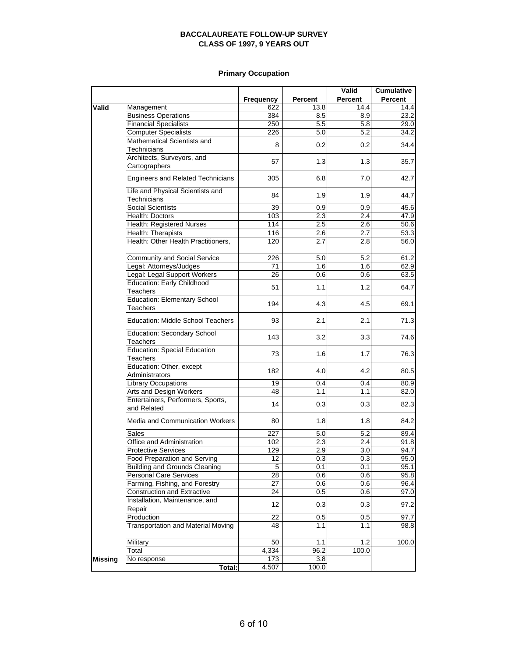# **Primary Occupation**

|                |                                                        |                  |                  | Valid   | <b>Cumulative</b> |
|----------------|--------------------------------------------------------|------------------|------------------|---------|-------------------|
|                |                                                        | <b>Frequency</b> | <b>Percent</b>   | Percent | Percent           |
| Valid          | Management                                             | 622              | 13.8             | 14.4    | 14.4              |
|                | <b>Business Operations</b>                             | 384              | 8.5              | 8.9     | 23.2              |
|                | <b>Financial Specialists</b>                           | 250              | 5.5              | 5.8     | 29.0              |
|                | <b>Computer Specialists</b>                            | 226              | 5.0              | 5.2     | 34.2              |
|                | Mathematical Scientists and                            | 8                | 0.2              | 0.2     | 34.4              |
|                | Technicians                                            |                  |                  |         |                   |
|                | Architects, Surveyors, and<br>Cartographers            | 57               | 1.3              | 1.3     | 35.7              |
|                |                                                        |                  |                  |         |                   |
|                | <b>Engineers and Related Technicians</b>               | 305              | 6.8              | 7.0     | 42.7              |
|                | Life and Physical Scientists and<br>Technicians        | 84               | 1.9              | 1.9     | 44.7              |
|                | <b>Social Scientists</b>                               | 39               | 0.9              | 0.9     | 45.6              |
|                | Health: Doctors                                        | 103              | 2.3              | 2.4     | 47.9              |
|                | Health: Registered Nurses                              | 114              | 2.5              | 2.6     | 50.6              |
|                | Health: Therapists                                     | 116              | 2.6              | 2.7     | 53.3              |
|                | Health: Other Health Practitioners,                    | 120              | 2.7              | 2.8     | 56.0              |
|                | <b>Community and Social Service</b>                    | 226              | 5.0              | 5.2     | 61.2              |
|                | Legal: Attorneys/Judges                                | 71               | $1.\overline{6}$ | 1.6     | 62.9              |
|                | Legal: Legal Support Workers                           | 26               | 0.6              | 0.6     | 63.5              |
|                | <b>Education: Early Childhood</b>                      |                  |                  |         |                   |
|                | <b>Teachers</b>                                        | 51               | 1.1              | 1.2     | 64.7              |
|                | <b>Education: Elementary School</b><br><b>Teachers</b> | 194              | 4.3              | 4.5     | 69.1              |
|                | <b>Education: Middle School Teachers</b>               | 93               | 2.1              | 2.1     | 71.3              |
|                | Education: Secondary School                            | 143              | 3.2              | 3.3     | 74.6              |
|                | <b>Teachers</b>                                        |                  |                  |         |                   |
|                | <b>Education: Special Education</b><br><b>Teachers</b> | 73               | 1.6              | 1.7     | 76.3              |
|                | Education: Other, except<br>Administrators             | 182              | 4.0              | 4.2     | 80.5              |
|                | <b>Library Occupations</b>                             | 19               | 0.4              | 0.4     | 80.9              |
|                | Arts and Design Workers                                | 48               | 1.1              | 1.1     | 82.0              |
|                | Entertainers, Performers, Sports,                      |                  |                  |         |                   |
|                | and Related                                            | 14               | 0.3              | 0.3     | 82.3              |
|                | <b>Media and Communication Workers</b>                 | 80               | 1.8              | 1.8     | 84.2              |
|                | Sales                                                  | 227              | 5.0              | 5.2     | 89.4              |
|                | Office and Administration                              | 102              | 2.3              | 2.4     | 91.8              |
|                | <b>Protective Services</b>                             | 129              | 2.9              | 3.0     | 94.7              |
|                | Food Preparation and Serving                           | 12               | 0.3              | 0.3     | 95.0              |
|                | <b>Building and Grounds Cleaning</b>                   | 5                | 0.1              | 0.1     | 95.1              |
|                | <b>Personal Care Services</b>                          | 28               | 0.6              | 0.6     | 95.8              |
|                | Farming, Fishing, and Forestry                         | 27               | 0.6              | 0.6     | 96.4              |
|                | Construction and Extractive                            | 24               | 0.5              | 0.6     | 97.0              |
|                | Installation, Maintenance, and<br>Repair               | 12               | 0.3              | 0.3     | 97.2              |
|                | Production                                             | 22               | 0.5              | 0.5     | 97.7              |
|                | <b>Transportation and Material Moving</b>              | 48               | 1.1              | 1.1     | 98.8              |
|                | Military                                               | 50               | 1.1              | 1.2     | 100.0             |
|                | Total                                                  | 4,334            | 96.2             | 100.0   |                   |
| <b>Missing</b> | No response                                            | 173              | 3.8              |         |                   |
|                | Total:                                                 | 4,507            | 100.0            |         |                   |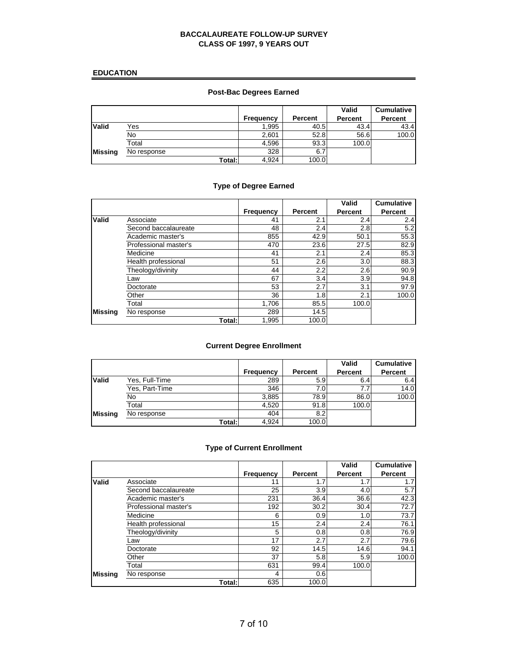#### **EDUCATION**

# **Post-Bac Degrees Earned**

|                |             |                  |                | Valid          | <b>Cumulative</b> |
|----------------|-------------|------------------|----------------|----------------|-------------------|
|                |             | <b>Frequency</b> | <b>Percent</b> | <b>Percent</b> | Percent           |
| <b>Valid</b>   | Yes         | 1,995            | 40.5           | 43.4           | 43.4              |
|                | No          | 2,601            | 52.8           | 56.6           | 100.0             |
|                | Total       | 4,596            | 93.3           | 100.0          |                   |
| <b>Missing</b> | No response | 328              | 6.7            |                |                   |
|                | Total:l     | 4,924            | 100.0          |                |                   |

# **Type of Degree Earned**

|                |                       |                  |                | Valid          | <b>Cumulative</b> |
|----------------|-----------------------|------------------|----------------|----------------|-------------------|
|                |                       | <b>Frequency</b> | <b>Percent</b> | <b>Percent</b> | <b>Percent</b>    |
| <b>Valid</b>   | Associate             | 41               | 2.1            | 2.4            | 2.4               |
|                | Second baccalaureate  | 48               | 2.4            | 2.8            | 5.2               |
|                | Academic master's     | 855              | 42.9           | 50.1           | 55.3              |
|                | Professional master's | 470              | 23.6           | 27.5           | 82.9              |
|                | Medicine              | 41               | 2.1            | 2.4            | 85.3              |
|                | Health professional   | 51               | 2.6            | 3.0            | 88.3              |
|                | Theology/divinity     | 44               | 2.2            | 2.6            | 90.9              |
|                | Law                   | 67               | 3.4            | 3.9            | 94.8              |
|                | Doctorate             | 53               | 2.7            | 3.1            | 97.9              |
|                | Other                 | 36               | 1.8            | 2.1            | 100.0             |
|                | Total                 | 1.706            | 85.5           | 100.0          |                   |
| <b>Missing</b> | No response           | 289              | 14.5           |                |                   |
|                | Total:                | 1,995            | 100.0          |                |                   |

#### **Current Degree Enrollment**

|                |                |           |                | Valid   | <b>Cumulative</b> |
|----------------|----------------|-----------|----------------|---------|-------------------|
|                |                | Frequency | <b>Percent</b> | Percent | Percent           |
| Valid          | Yes, Full-Time | 289       | 5.9            | 6.4     | 6.4               |
|                | Yes, Part-Time | 346       | 7.0            | 7.7     | 14.0              |
|                | No             | 3,885     | 78.9           | 86.0    | 100.0             |
|                | Total          | 4,520     | 91.8           | 100.0   |                   |
| <b>Missing</b> | No response    | 404       | 8.2            |         |                   |
|                | Total:         | 4.924     | 100.0          |         |                   |

# **Type of Current Enrollment**

|                |                       |                  |                | Valid          | <b>Cumulative</b> |
|----------------|-----------------------|------------------|----------------|----------------|-------------------|
|                |                       | <b>Frequency</b> | <b>Percent</b> | <b>Percent</b> | <b>Percent</b>    |
| Valid          | Associate             | 11               | 1.7            | 1.7            | 1.7               |
|                | Second baccalaureate  | 25               | 3.9            | 4.0            | 5.7               |
|                | Academic master's     | 231              | 36.4           | 36.6           | 42.3              |
|                | Professional master's | 192              | 30.2           | 30.4           | 72.7              |
|                | Medicine              | 6                | 0.9            | 1.0            | 73.7              |
|                | Health professional   | 15               | 2.4            | 2.4            | 76.1              |
|                | Theology/divinity     | 5                | 0.8            | 0.8            | 76.9              |
|                | Law                   | 17               | 2.7            | 2.7            | 79.6              |
|                | Doctorate             | 92               | 14.5           | 14.6           | 94.1              |
|                | Other                 | 37               | 5.8            | 5.9            | 100.0             |
|                | Total                 | 631              | 99.4           | 100.0          |                   |
| <b>Missing</b> | No response           | 4                | 0.6            |                |                   |
|                | Total:                | 635              | 100.0          |                |                   |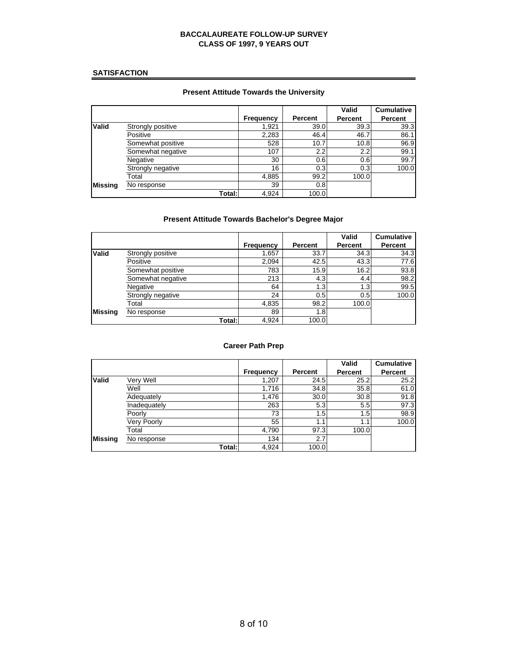#### **SATISFACTION**

# **Present Attitude Towards the University**

|              |                   |                  |         | Valid          | <b>Cumulative</b> |
|--------------|-------------------|------------------|---------|----------------|-------------------|
|              |                   | <b>Frequency</b> | Percent | <b>Percent</b> | <b>Percent</b>    |
| <b>Valid</b> | Strongly positive | 1,921            | 39.0    | 39.3           | 39.3              |
|              | Positive          | 2,283            | 46.4    | 46.7           | 86.1              |
|              | Somewhat positive | 528              | 10.7    | 10.8           | 96.9              |
|              | Somewhat negative | 107              | 2.2     | 2.2            | 99.1              |
|              | Negative          | 30               | 0.6     | 0.6            | 99.7              |
|              | Strongly negative | 16               | 0.3     | 0.3            | 100.0             |
|              | Total             | 4,885            | 99.2    | 100.0          |                   |
| Missing      | No response       | 39               | 0.8     |                |                   |
|              | Total:            | 4,924            | 100.0   |                |                   |

# **Present Attitude Towards Bachelor's Degree Major**

|                |                   |                  |                | Valid          | <b>Cumulative</b> |
|----------------|-------------------|------------------|----------------|----------------|-------------------|
|                |                   | <b>Frequency</b> | <b>Percent</b> | <b>Percent</b> | <b>Percent</b>    |
| <b>Valid</b>   | Strongly positive | 1,657            | 33.7           | 34.3           | 34.3              |
|                | Positive          | 2,094            | 42.5           | 43.3           | 77.6              |
|                | Somewhat positive | 783              | 15.9           | 16.2           | 93.8              |
|                | Somewhat negative | 213              | 4.3            | 4.4            | 98.2              |
|                | Negative          | 64               | 1.3            | 1.3            | 99.5              |
|                | Strongly negative | 24               | 0.5            | 0.5            | 100.0             |
|                | Total             | 4,835            | 98.2           | 100.0          |                   |
| <b>Missing</b> | No response       | 89               | 1.8            |                |                   |
|                | Total:            | 4,924            | 100.0          |                |                   |

#### **Career Path Prep**

|                |              |                  |                | Valid   | <b>Cumulative</b> |
|----------------|--------------|------------------|----------------|---------|-------------------|
|                |              | <b>Frequency</b> | <b>Percent</b> | Percent | <b>Percent</b>    |
| <b>Valid</b>   | Verv Well    | 1,207            | 24.5           | 25.2    | 25.2              |
|                | Well         | 1,716            | 34.8           | 35.8    | 61.0              |
|                | Adequately   | 1,476            | 30.0           | 30.8    | 91.8              |
|                | Inadequately | 263              | 5.3            | 5.5     | 97.3              |
|                | Poorly       | 73               | 1.5            | 1.5     | 98.9              |
|                | Very Poorly  | 55               | 1.1            | 1.1     | 100.0             |
|                | Total        | 4,790            | 97.3           | 100.0   |                   |
| <b>Missing</b> | No response  | 134              | 2.7            |         |                   |
|                | Total:       | 4,924            | 100.0          |         |                   |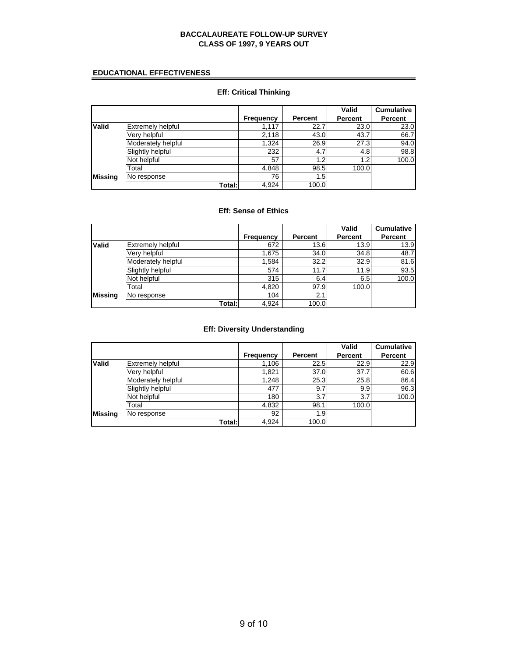# **EDUCATIONAL EFFECTIVENESS**

#### **Frequency Percent Valid** Extremely helpful 1,117 22.7 23.0 23.0 23.0 23.0 Very helpful 2,118 43.0 43.7 66.7<br>Moderately helpful 1,324 26.9 27.3 94.0 Moderately helpful 1,324 26.9 27.3 94.0<br>
Slightly helpful 232 4.7 4.8 98.8 Slightly helpful 232 4.7 4.8 98.8<br>Not helpful 57 1.2 1.2 100.0 Not helpful 57 1.2 1.2 100.0 Total 4,848 98.5 100.0 **Missing** No response 76 76 1.5 4,924 **Valid Percent Cumulative Percent Total:**

#### **Eff: Critical Thinking**

#### **Eff: Sense of Ethics**

|                |                    |                  |                | Valid   | <b>Cumulative</b> |
|----------------|--------------------|------------------|----------------|---------|-------------------|
|                |                    | <b>Frequency</b> | <b>Percent</b> | Percent | Percent           |
| <b>Valid</b>   | Extremely helpful  | 672              | 13.6           | 13.9    | 13.9              |
|                | Very helpful       | 1,675            | 34.0           | 34.8    | 48.7              |
|                | Moderately helpful | 1,584            | 32.2           | 32.9    | 81.6              |
|                | Slightly helpful   | 574              | 11.7           | 11.9    | 93.5              |
|                | Not helpful        | 315              | 6.4            | 6.5     | 100.0             |
|                | Total              | 4,820            | 97.9           | 100.0   |                   |
| <b>Missing</b> | No response        | 104              | 2.1            |         |                   |
|                | Total:             | 4,924            | 100.0          |         |                   |

#### **Eff: Diversity Understanding**

|                |                    |                  |                | Valid          | <b>Cumulative</b> |
|----------------|--------------------|------------------|----------------|----------------|-------------------|
|                |                    | <b>Frequency</b> | <b>Percent</b> | <b>Percent</b> | <b>Percent</b>    |
| <b>Valid</b>   | Extremely helpful  | 1,106            | 22.5           | 22.9           | 22.9              |
|                | Very helpful       | 1,821            | 37.0           | 37.7           | 60.6              |
|                | Moderately helpful | 1,248            | 25.3           | 25.8           | 86.4              |
|                | Slightly helpful   | 477              | 9.7            | 9.9            | 96.3              |
|                | Not helpful        | 180              | 3.7            | 3.7            | 100.0             |
|                | Total              | 4,832            | 98.1           | 100.0          |                   |
| <b>Missing</b> | No response        | 92               | 1.9            |                |                   |
|                | Total:             | 4,924            | 100.0          |                |                   |